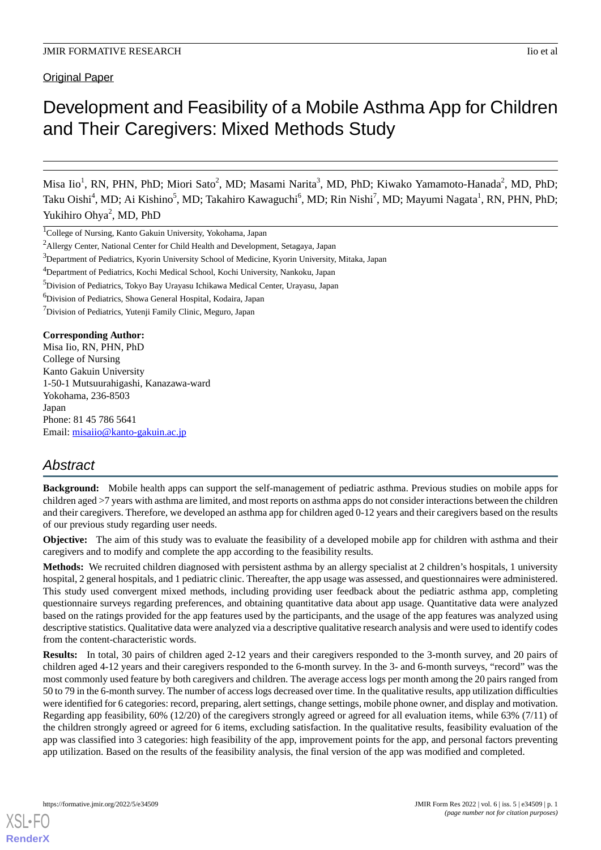Original Paper

# Development and Feasibility of a Mobile Asthma App for Children and Their Caregivers: Mixed Methods Study

Misa Iio<sup>1</sup>, RN, PHN, PhD; Miori Sato<sup>2</sup>, MD; Masami Narita<sup>3</sup>, MD, PhD; Kiwako Yamamoto-Hanada<sup>2</sup>, MD, PhD; Taku Oishi<sup>4</sup>, MD; Ai Kishino<sup>5</sup>, MD; Takahiro Kawaguchi<sup>6</sup>, MD; Rin Nishi<sup>7</sup>, MD; Mayumi Nagata<sup>1</sup>, RN, PHN, PhD; Yukihiro Ohya<sup>2</sup>, MD, PhD

<sup>1</sup>College of Nursing, Kanto Gakuin University, Yokohama, Japan

<sup>6</sup>Division of Pediatrics, Showa General Hospital, Kodaira, Japan

**Corresponding Author:**

Misa Iio, RN, PHN, PhD College of Nursing Kanto Gakuin University 1-50-1 Mutsuurahigashi, Kanazawa-ward Yokohama, 236-8503 Japan Phone: 81 45 786 5641 Email: [misaiio@kanto-gakuin.ac.jp](mailto:misaiio@kanto-gakuin.ac.jp)

# *Abstract*

**Background:** Mobile health apps can support the self-management of pediatric asthma. Previous studies on mobile apps for children aged >7 years with asthma are limited, and most reports on asthma apps do not consider interactions between the children and their caregivers. Therefore, we developed an asthma app for children aged 0-12 years and their caregivers based on the results of our previous study regarding user needs.

**Objective:** The aim of this study was to evaluate the feasibility of a developed mobile app for children with asthma and their caregivers and to modify and complete the app according to the feasibility results.

**Methods:** We recruited children diagnosed with persistent asthma by an allergy specialist at 2 children's hospitals, 1 university hospital, 2 general hospitals, and 1 pediatric clinic. Thereafter, the app usage was assessed, and questionnaires were administered. This study used convergent mixed methods, including providing user feedback about the pediatric asthma app, completing questionnaire surveys regarding preferences, and obtaining quantitative data about app usage. Quantitative data were analyzed based on the ratings provided for the app features used by the participants, and the usage of the app features was analyzed using descriptive statistics. Qualitative data were analyzed via a descriptive qualitative research analysis and were used to identify codes from the content-characteristic words.

**Results:** In total, 30 pairs of children aged 2-12 years and their caregivers responded to the 3-month survey, and 20 pairs of children aged 4-12 years and their caregivers responded to the 6-month survey. In the 3- and 6-month surveys, "record" was the most commonly used feature by both caregivers and children. The average access logs per month among the 20 pairs ranged from 50 to 79 in the 6-month survey. The number of access logs decreased over time. In the qualitative results, app utilization difficulties were identified for 6 categories: record, preparing, alert settings, change settings, mobile phone owner, and display and motivation. Regarding app feasibility, 60% (12/20) of the caregivers strongly agreed or agreed for all evaluation items, while 63% (7/11) of the children strongly agreed or agreed for 6 items, excluding satisfaction. In the qualitative results, feasibility evaluation of the app was classified into 3 categories: high feasibility of the app, improvement points for the app, and personal factors preventing app utilization. Based on the results of the feasibility analysis, the final version of the app was modified and completed.

<sup>&</sup>lt;sup>2</sup>Allergy Center, National Center for Child Health and Development, Setagaya, Japan

<sup>&</sup>lt;sup>3</sup>Department of Pediatrics, Kyorin University School of Medicine, Kyorin University, Mitaka, Japan

<sup>4</sup>Department of Pediatrics, Kochi Medical School, Kochi University, Nankoku, Japan

<sup>&</sup>lt;sup>5</sup>Division of Pediatrics, Tokyo Bay Urayasu Ichikawa Medical Center, Urayasu, Japan

<sup>&</sup>lt;sup>7</sup>Division of Pediatrics, Yutenji Family Clinic, Meguro, Japan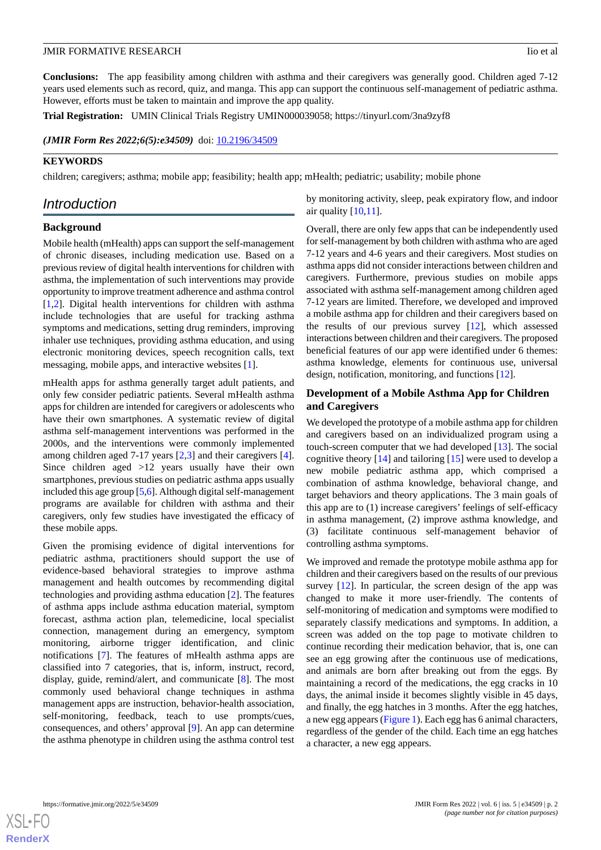**Conclusions:** The app feasibility among children with asthma and their caregivers was generally good. Children aged 7-12 years used elements such as record, quiz, and manga. This app can support the continuous self-management of pediatric asthma. However, efforts must be taken to maintain and improve the app quality.

**Trial Registration:** UMIN Clinical Trials Registry UMIN000039058; https://tinyurl.com/3na9zyf8

(JMIR Form Res 2022;6(5):e34509) doi: [10.2196/34509](http://dx.doi.org/10.2196/34509)

## **KEYWORDS**

children; caregivers; asthma; mobile app; feasibility; health app; mHealth; pediatric; usability; mobile phone

# *Introduction*

### **Background**

Mobile health (mHealth) apps can support the self-management of chronic diseases, including medication use. Based on a previous review of digital health interventions for children with asthma, the implementation of such interventions may provide opportunity to improve treatment adherence and asthma control [[1](#page-12-0)[,2](#page-12-1)]. Digital health interventions for children with asthma include technologies that are useful for tracking asthma symptoms and medications, setting drug reminders, improving inhaler use techniques, providing asthma education, and using electronic monitoring devices, speech recognition calls, text messaging, mobile apps, and interactive websites [[1\]](#page-12-0).

mHealth apps for asthma generally target adult patients, and only few consider pediatric patients. Several mHealth asthma apps for children are intended for caregivers or adolescents who have their own smartphones. A systematic review of digital asthma self-management interventions was performed in the 2000s, and the interventions were commonly implemented among children aged 7-17 years [[2,](#page-12-1)[3](#page-12-2)] and their caregivers [[4\]](#page-12-3). Since children aged >12 years usually have their own smartphones, previous studies on pediatric asthma apps usually included this age group [\[5](#page-12-4)[,6](#page-12-5)]. Although digital self-management programs are available for children with asthma and their caregivers, only few studies have investigated the efficacy of these mobile apps.

Given the promising evidence of digital interventions for pediatric asthma, practitioners should support the use of evidence-based behavioral strategies to improve asthma management and health outcomes by recommending digital technologies and providing asthma education [[2\]](#page-12-1). The features of asthma apps include asthma education material, symptom forecast, asthma action plan, telemedicine, local specialist connection, management during an emergency, symptom monitoring, airborne trigger identification, and clinic notifications [\[7](#page-12-6)]. The features of mHealth asthma apps are classified into 7 categories, that is, inform, instruct, record, display, guide, remind/alert, and communicate [[8\]](#page-13-0). The most commonly used behavioral change techniques in asthma management apps are instruction, behavior-health association, self-monitoring, feedback, teach to use prompts/cues, consequences, and others' approval [[9\]](#page-13-1). An app can determine the asthma phenotype in children using the asthma control test by monitoring activity, sleep, peak expiratory flow, and indoor air quality  $[10,11]$  $[10,11]$  $[10,11]$ .

Overall, there are only few apps that can be independently used for self-management by both children with asthma who are aged 7-12 years and 4-6 years and their caregivers. Most studies on asthma apps did not consider interactions between children and caregivers. Furthermore, previous studies on mobile apps associated with asthma self-management among children aged 7-12 years are limited. Therefore, we developed and improved a mobile asthma app for children and their caregivers based on the results of our previous survey  $[12]$  $[12]$ , which assessed interactions between children and their caregivers. The proposed beneficial features of our app were identified under 6 themes: asthma knowledge, elements for continuous use, universal design, notification, monitoring, and functions [\[12](#page-13-4)].

# **Development of a Mobile Asthma App for Children and Caregivers**

We developed the prototype of a mobile asthma app for children and caregivers based on an individualized program using a touch-screen computer that we had developed [[13\]](#page-13-5). The social cognitive theory [\[14](#page-13-6)] and tailoring [\[15](#page-13-7)] were used to develop a new mobile pediatric asthma app, which comprised a combination of asthma knowledge, behavioral change, and target behaviors and theory applications. The 3 main goals of this app are to (1) increase caregivers' feelings of self-efficacy in asthma management, (2) improve asthma knowledge, and (3) facilitate continuous self-management behavior of controlling asthma symptoms.

We improved and remade the prototype mobile asthma app for children and their caregivers based on the results of our previous survey [\[12](#page-13-4)]. In particular, the screen design of the app was changed to make it more user-friendly. The contents of self-monitoring of medication and symptoms were modified to separately classify medications and symptoms. In addition, a screen was added on the top page to motivate children to continue recording their medication behavior, that is, one can see an egg growing after the continuous use of medications, and animals are born after breaking out from the eggs. By maintaining a record of the medications, the egg cracks in 10 days, the animal inside it becomes slightly visible in 45 days, and finally, the egg hatches in 3 months. After the egg hatches, a new egg appears [\(Figure 1\)](#page-2-0). Each egg has 6 animal characters, regardless of the gender of the child. Each time an egg hatches a character, a new egg appears.

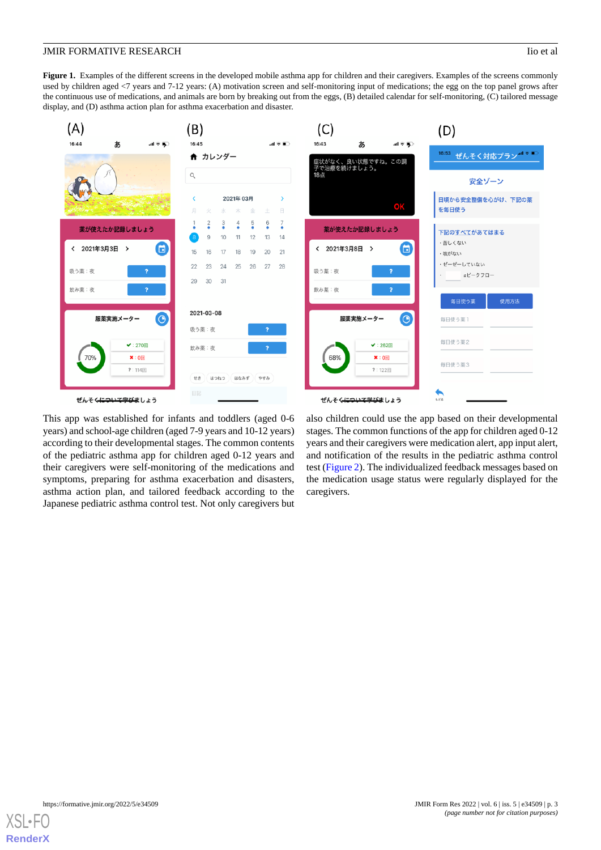<span id="page-2-0"></span>Figure 1. Examples of the different screens in the developed mobile asthma app for children and their caregivers. Examples of the screens commonly used by children aged <7 years and 7-12 years: (A) motivation screen and self-monitoring input of medications; the egg on the top panel grows after the continuous use of medications, and animals are born by breaking out from the eggs, (B) detailed calendar for self-monitoring, (C) tailored message display, and (D) asthma action plan for asthma exacerbation and disaster.



This app was established for infants and toddlers (aged 0-6 years) and school-age children (aged 7-9 years and 10-12 years) according to their developmental stages. The common contents of the pediatric asthma app for children aged 0-12 years and their caregivers were self-monitoring of the medications and symptoms, preparing for asthma exacerbation and disasters, asthma action plan, and tailored feedback according to the Japanese pediatric asthma control test. Not only caregivers but

also children could use the app based on their developmental stages. The common functions of the app for children aged 0-12 years and their caregivers were medication alert, app input alert, and notification of the results in the pediatric asthma control test ([Figure 2\)](#page-3-0). The individualized feedback messages based on the medication usage status were regularly displayed for the caregivers.

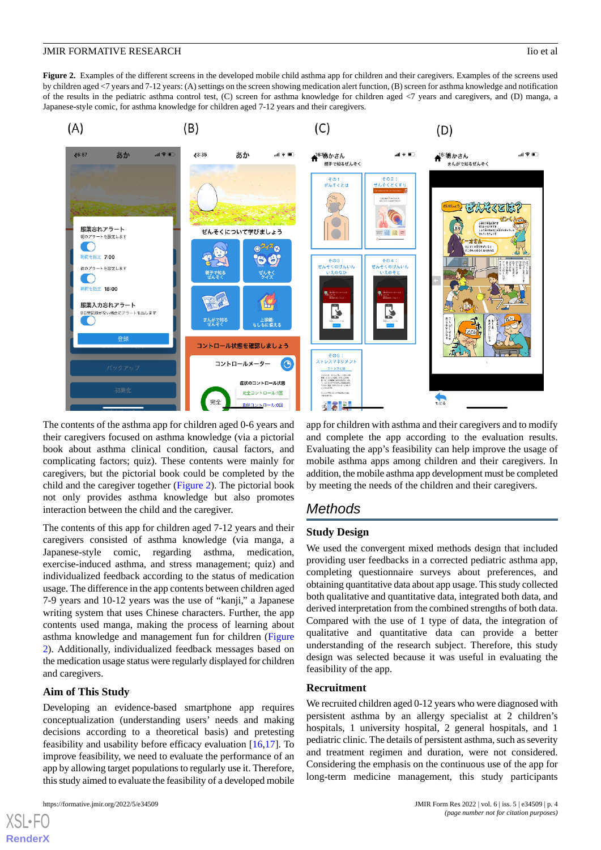<span id="page-3-0"></span>Figure 2. Examples of the different screens in the developed mobile child asthma app for children and their caregivers. Examples of the screens used by children aged <7 years and 7-12 years: (A) settings on the screen showing medication alert function, (B) screen for asthma knowledge and notification of the results in the pediatric asthma control test, (C) screen for asthma knowledge for children aged <7 years and caregivers, and (D) manga, a Japanese-style comic, for asthma knowledge for children aged 7-12 years and their caregivers.



The contents of the asthma app for children aged 0-6 years and their caregivers focused on asthma knowledge (via a pictorial book about asthma clinical condition, causal factors, and complicating factors; quiz). These contents were mainly for caregivers, but the pictorial book could be completed by the child and the caregiver together [\(Figure 2\)](#page-3-0). The pictorial book not only provides asthma knowledge but also promotes interaction between the child and the caregiver.

The contents of this app for children aged 7-12 years and their caregivers consisted of asthma knowledge (via manga, a Japanese-style comic, regarding asthma, medication, exercise-induced asthma, and stress management; quiz) and individualized feedback according to the status of medication usage. The difference in the app contents between children aged 7-9 years and 10-12 years was the use of "kanji," a Japanese writing system that uses Chinese characters. Further, the app contents used manga, making the process of learning about asthma knowledge and management fun for children ([Figure](#page-3-0) [2\)](#page-3-0). Additionally, individualized feedback messages based on the medication usage status were regularly displayed for children and caregivers.

#### **Aim of This Study**

Developing an evidence-based smartphone app requires conceptualization (understanding users' needs and making decisions according to a theoretical basis) and pretesting feasibility and usability before efficacy evaluation [\[16](#page-13-8),[17\]](#page-13-9). To improve feasibility, we need to evaluate the performance of an app by allowing target populations to regularly use it. Therefore, this study aimed to evaluate the feasibility of a developed mobile

app for children with asthma and their caregivers and to modify and complete the app according to the evaluation results. Evaluating the app's feasibility can help improve the usage of mobile asthma apps among children and their caregivers. In addition, the mobile asthma app development must be completed by meeting the needs of the children and their caregivers.

# *Methods*

#### **Study Design**

We used the convergent mixed methods design that included providing user feedbacks in a corrected pediatric asthma app, completing questionnaire surveys about preferences, and obtaining quantitative data about app usage. This study collected both qualitative and quantitative data, integrated both data, and derived interpretation from the combined strengths of both data. Compared with the use of 1 type of data, the integration of qualitative and quantitative data can provide a better understanding of the research subject. Therefore, this study design was selected because it was useful in evaluating the feasibility of the app.

#### **Recruitment**

We recruited children aged 0-12 years who were diagnosed with persistent asthma by an allergy specialist at 2 children's hospitals, 1 university hospital, 2 general hospitals, and 1 pediatric clinic. The details of persistent asthma, such as severity and treatment regimen and duration, were not considered. Considering the emphasis on the continuous use of the app for long-term medicine management, this study participants

 $XS$  • FC **[RenderX](http://www.renderx.com/)**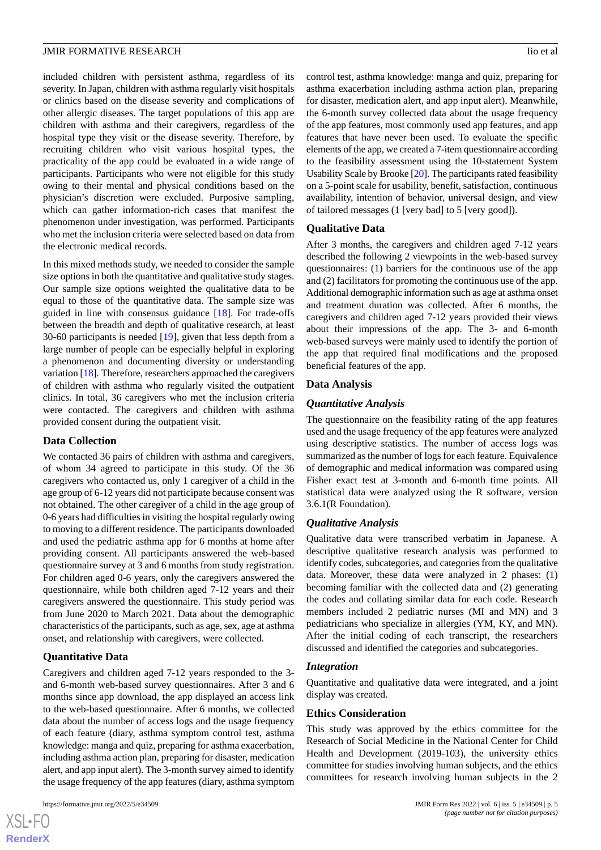included children with persistent asthma, regardless of its severity. In Japan, children with asthma regularly visit hospitals or clinics based on the disease severity and complications of other allergic diseases. The target populations of this app are children with asthma and their caregivers, regardless of the hospital type they visit or the disease severity. Therefore, by recruiting children who visit various hospital types, the practicality of the app could be evaluated in a wide range of participants. Participants who were not eligible for this study owing to their mental and physical conditions based on the physician's discretion were excluded. Purposive sampling, which can gather information-rich cases that manifest the phenomenon under investigation, was performed. Participants who met the inclusion criteria were selected based on data from the electronic medical records.

In this mixed methods study, we needed to consider the sample size options in both the quantitative and qualitative study stages. Our sample size options weighted the qualitative data to be equal to those of the quantitative data. The sample size was guided in line with consensus guidance [\[18](#page-13-10)]. For trade-offs between the breadth and depth of qualitative research, at least 30-60 participants is needed [[19\]](#page-13-11), given that less depth from a large number of people can be especially helpful in exploring a phenomenon and documenting diversity or understanding variation [[18](#page-13-10)]. Therefore, researchers approached the caregivers of children with asthma who regularly visited the outpatient clinics. In total, 36 caregivers who met the inclusion criteria were contacted. The caregivers and children with asthma provided consent during the outpatient visit.

#### **Data Collection**

We contacted 36 pairs of children with asthma and caregivers, of whom 34 agreed to participate in this study. Of the 36 caregivers who contacted us, only 1 caregiver of a child in the age group of 6-12 years did not participate because consent was not obtained. The other caregiver of a child in the age group of 0-6 years had difficulties in visiting the hospital regularly owing to moving to a different residence. The participants downloaded and used the pediatric asthma app for 6 months at home after providing consent. All participants answered the web-based questionnaire survey at 3 and 6 months from study registration. For children aged 0-6 years, only the caregivers answered the questionnaire, while both children aged 7-12 years and their caregivers answered the questionnaire. This study period was from June 2020 to March 2021. Data about the demographic characteristics of the participants, such as age, sex, age at asthma onset, and relationship with caregivers, were collected.

#### **Quantitative Data**

Caregivers and children aged 7-12 years responded to the 3 and 6-month web-based survey questionnaires. After 3 and 6 months since app download, the app displayed an access link to the web-based questionnaire. After 6 months, we collected data about the number of access logs and the usage frequency of each feature (diary, asthma symptom control test, asthma knowledge: manga and quiz, preparing for asthma exacerbation, including asthma action plan, preparing for disaster, medication alert, and app input alert). The 3-month survey aimed to identify the usage frequency of the app features (diary, asthma symptom

control test, asthma knowledge: manga and quiz, preparing for asthma exacerbation including asthma action plan, preparing for disaster, medication alert, and app input alert). Meanwhile, the 6-month survey collected data about the usage frequency of the app features, most commonly used app features, and app features that have never been used. To evaluate the specific elements of the app, we created a 7-item questionnaire according to the feasibility assessment using the 10-statement System Usability Scale by Brooke [\[20](#page-13-12)]. The participants rated feasibility on a 5-point scale for usability, benefit, satisfaction, continuous availability, intention of behavior, universal design, and view of tailored messages (1 [very bad] to 5 [very good]).

# **Qualitative Data**

After 3 months, the caregivers and children aged 7-12 years described the following 2 viewpoints in the web-based survey questionnaires: (1) barriers for the continuous use of the app and (2) facilitators for promoting the continuous use of the app. Additional demographic information such as age at asthma onset and treatment duration was collected. After 6 months, the caregivers and children aged 7-12 years provided their views about their impressions of the app. The 3- and 6-month web-based surveys were mainly used to identify the portion of the app that required final modifications and the proposed beneficial features of the app.

# **Data Analysis**

# *Quantitative Analysis*

The questionnaire on the feasibility rating of the app features used and the usage frequency of the app features were analyzed using descriptive statistics. The number of access logs was summarized as the number of logs for each feature. Equivalence of demographic and medical information was compared using Fisher exact test at 3-month and 6-month time points. All statistical data were analyzed using the R software, version 3.6.1(R Foundation).

#### *Qualitative Analysis*

Qualitative data were transcribed verbatim in Japanese. A descriptive qualitative research analysis was performed to identify codes, subcategories, and categories from the qualitative data. Moreover, these data were analyzed in 2 phases: (1) becoming familiar with the collected data and (2) generating the codes and collating similar data for each code. Research members included 2 pediatric nurses (MI and MN) and 3 pediatricians who specialize in allergies (YM, KY, and MN). After the initial coding of each transcript, the researchers discussed and identified the categories and subcategories.

#### *Integration*

Quantitative and qualitative data were integrated, and a joint display was created.

#### **Ethics Consideration**

This study was approved by the ethics committee for the Research of Social Medicine in the National Center for Child Health and Development (2019-103), the university ethics committee for studies involving human subjects, and the ethics committees for research involving human subjects in the 2

 $XS$  • FC **[RenderX](http://www.renderx.com/)**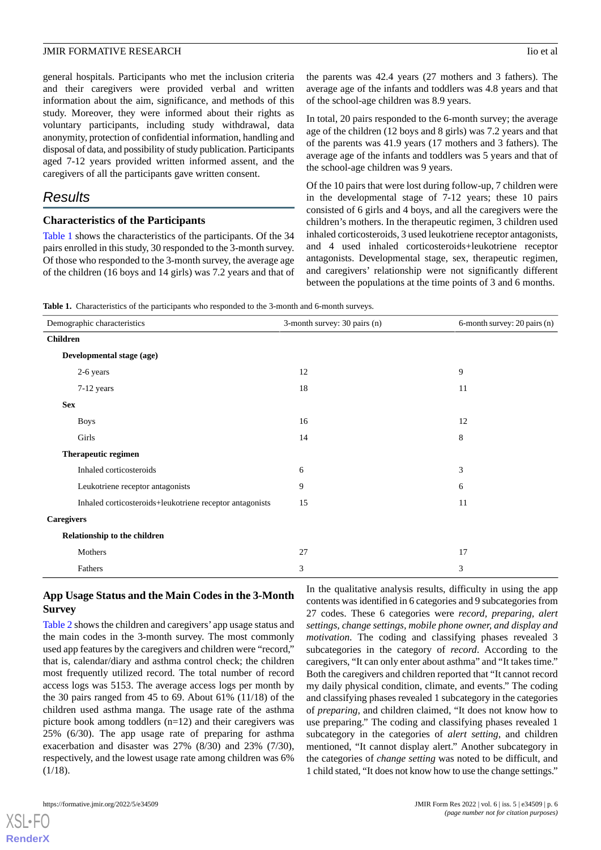general hospitals. Participants who met the inclusion criteria and their caregivers were provided verbal and written information about the aim, significance, and methods of this study. Moreover, they were informed about their rights as voluntary participants, including study withdrawal, data anonymity, protection of confidential information, handling and disposal of data, and possibility of study publication. Participants aged 7-12 years provided written informed assent, and the caregivers of all the participants gave written consent.

# *Results*

#### **Characteristics of the Participants**

[Table 1](#page-5-0) shows the characteristics of the participants. Of the 34 pairs enrolled in this study, 30 responded to the 3-month survey. Of those who responded to the 3-month survey, the average age of the children (16 boys and 14 girls) was 7.2 years and that of the parents was 42.4 years (27 mothers and 3 fathers). The average age of the infants and toddlers was 4.8 years and that of the school-age children was 8.9 years.

In total, 20 pairs responded to the 6-month survey; the average age of the children (12 boys and 8 girls) was 7.2 years and that of the parents was 41.9 years (17 mothers and 3 fathers). The average age of the infants and toddlers was 5 years and that of the school-age children was 9 years.

Of the 10 pairs that were lost during follow-up, 7 children were in the developmental stage of 7-12 years; these 10 pairs consisted of 6 girls and 4 boys, and all the caregivers were the children's mothers. In the therapeutic regimen, 3 children used inhaled corticosteroids, 3 used leukotriene receptor antagonists, and 4 used inhaled corticosteroids+leukotriene receptor antagonists. Developmental stage, sex, therapeutic regimen, and caregivers' relationship were not significantly different between the populations at the time points of 3 and 6 months.

<span id="page-5-0"></span>**Table 1.** Characteristics of the participants who responded to the 3-month and 6-month surveys.

| Demographic characteristics                              | 3-month survey: 30 pairs (n) | 6-month survey: 20 pairs (n) |
|----------------------------------------------------------|------------------------------|------------------------------|
| <b>Children</b>                                          |                              |                              |
| Developmental stage (age)                                |                              |                              |
| 2-6 years                                                | 12                           | 9                            |
| 7-12 years                                               | 18                           | 11                           |
| <b>Sex</b>                                               |                              |                              |
| <b>Boys</b>                                              | 16                           | 12                           |
| Girls                                                    | 14                           | 8                            |
| Therapeutic regimen                                      |                              |                              |
| Inhaled corticosteroids                                  | 6                            | 3                            |
| Leukotriene receptor antagonists                         | 9                            | 6                            |
| Inhaled corticosteroids+leukotriene receptor antagonists | 15                           | 11                           |
| <b>Caregivers</b>                                        |                              |                              |
| Relationship to the children                             |                              |                              |
| Mothers                                                  | 27                           | 17                           |
| Fathers                                                  | 3                            | 3                            |

# **App Usage Status and the Main Codes in the 3-Month Survey**

[Table 2](#page-6-0) shows the children and caregivers' app usage status and the main codes in the 3-month survey. The most commonly used app features by the caregivers and children were "record," that is, calendar/diary and asthma control check; the children most frequently utilized record. The total number of record access logs was 5153. The average access logs per month by the 30 pairs ranged from 45 to 69. About 61% (11/18) of the children used asthma manga. The usage rate of the asthma picture book among toddlers (n=12) and their caregivers was 25% (6/30). The app usage rate of preparing for asthma exacerbation and disaster was 27% (8/30) and 23% (7/30), respectively, and the lowest usage rate among children was 6%  $(1/18)$ .

In the qualitative analysis results, difficulty in using the app contents was identified in 6 categories and 9 subcategories from 27 codes. These 6 categories were *record, preparing, alert settings, change settings, mobile phone owner, and display and motivation*. The coding and classifying phases revealed 3 subcategories in the category of *record*. According to the caregivers, "It can only enter about asthma" and "It takes time." Both the caregivers and children reported that "It cannot record my daily physical condition, climate, and events." The coding and classifying phases revealed 1 subcategory in the categories of *preparing*, and children claimed, "It does not know how to use preparing." The coding and classifying phases revealed 1 subcategory in the categories of *alert setting*, and children mentioned, "It cannot display alert." Another subcategory in the categories of *change setting* was noted to be difficult, and 1 child stated, "It does not know how to use the change settings."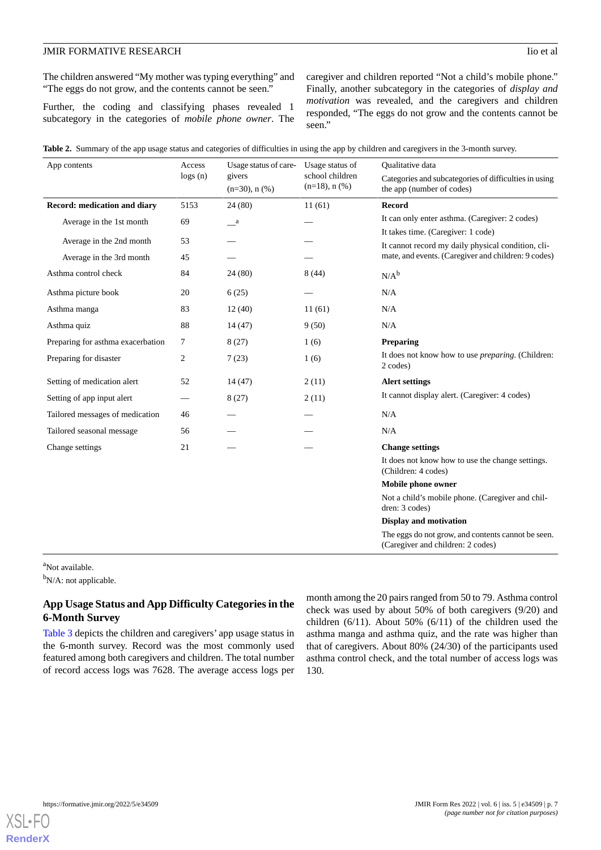The children answered "My mother was typing everything" and "The eggs do not grow, and the contents cannot be seen."

Further, the coding and classifying phases revealed 1 subcategory in the categories of *mobile phone owner*. The caregiver and children reported "Not a child's mobile phone." Finally, another subcategory in the categories of *display and motivation* was revealed, and the caregivers and children responded, "The eggs do not grow and the contents cannot be seen."

<span id="page-6-0"></span>

|  |  |  |  |  | Table 2. Summary of the app usage status and categories of difficulties in using the app by children and caregivers in the 3-month survey. |
|--|--|--|--|--|--------------------------------------------------------------------------------------------------------------------------------------------|
|  |  |  |  |  |                                                                                                                                            |

| App contents                      | Access         | Usage status of care-         | Usage status of                        | Qualitative data                                                                        |  |  |
|-----------------------------------|----------------|-------------------------------|----------------------------------------|-----------------------------------------------------------------------------------------|--|--|
|                                   | logs( n )      | givers<br>$(n=30)$ , n $(\%)$ | school children<br>$(n=18)$ , n $(\%)$ | Categories and subcategories of difficulties in using<br>the app (number of codes)      |  |  |
| Record: medication and diary      | 5153           | 24 (80)                       | 11(61)                                 | <b>Record</b>                                                                           |  |  |
| Average in the 1st month          | 69             | $\_\a$                        |                                        | It can only enter asthma. (Caregiver: 2 codes)                                          |  |  |
|                                   | 53             |                               |                                        | It takes time. (Caregiver: 1 code)                                                      |  |  |
| Average in the 2nd month          |                |                               |                                        | It cannot record my daily physical condition, cli-                                      |  |  |
| Average in the 3rd month          | 45             |                               |                                        | mate, and events. (Caregiver and children: 9 codes)                                     |  |  |
| Asthma control check              | 84             | 24(80)                        | 8(44)                                  | $N/A^b$                                                                                 |  |  |
| Asthma picture book               | 20             | 6(25)                         |                                        | N/A                                                                                     |  |  |
| Asthma manga                      | 83             | 12(40)                        | 11(61)                                 | N/A                                                                                     |  |  |
| Asthma quiz                       | 88             | 14(47)                        | 9(50)                                  | N/A                                                                                     |  |  |
| Preparing for asthma exacerbation | 7              | 8(27)                         | 1(6)                                   | <b>Preparing</b>                                                                        |  |  |
| Preparing for disaster            | $\overline{c}$ | 7(23)                         | 1(6)                                   | It does not know how to use <i>preparing</i> . (Children:<br>2 codes)                   |  |  |
| Setting of medication alert       | 52             | 14(47)                        | 2(11)                                  | <b>Alert settings</b>                                                                   |  |  |
| Setting of app input alert        |                | 8(27)                         | 2(11)                                  | It cannot display alert. (Caregiver: 4 codes)                                           |  |  |
| Tailored messages of medication   | 46             |                               |                                        | N/A                                                                                     |  |  |
| Tailored seasonal message         | 56             |                               |                                        | N/A                                                                                     |  |  |
| Change settings                   | 21             |                               |                                        | <b>Change settings</b>                                                                  |  |  |
|                                   |                |                               |                                        | It does not know how to use the change settings.<br>(Children: 4 codes)                 |  |  |
|                                   |                |                               |                                        | Mobile phone owner                                                                      |  |  |
|                                   |                |                               |                                        | Not a child's mobile phone. (Caregiver and chil-<br>dren: 3 codes)                      |  |  |
|                                   |                |                               |                                        | <b>Display and motivation</b>                                                           |  |  |
|                                   |                |                               |                                        | The eggs do not grow, and contents cannot be seen.<br>(Caregiver and children: 2 codes) |  |  |

<sup>a</sup>Not available.

 $b_{N/A}$ : not applicable.

# **App Usage Status and App Difficulty Categories in the 6-Month Survey**

[Table 3](#page-7-0) depicts the children and caregivers' app usage status in the 6-month survey. Record was the most commonly used featured among both caregivers and children. The total number of record access logs was 7628. The average access logs per

month among the 20 pairs ranged from 50 to 79. Asthma control check was used by about 50% of both caregivers (9/20) and children (6/11). About 50% (6/11) of the children used the asthma manga and asthma quiz, and the rate was higher than that of caregivers. About 80% (24/30) of the participants used asthma control check, and the total number of access logs was 130.

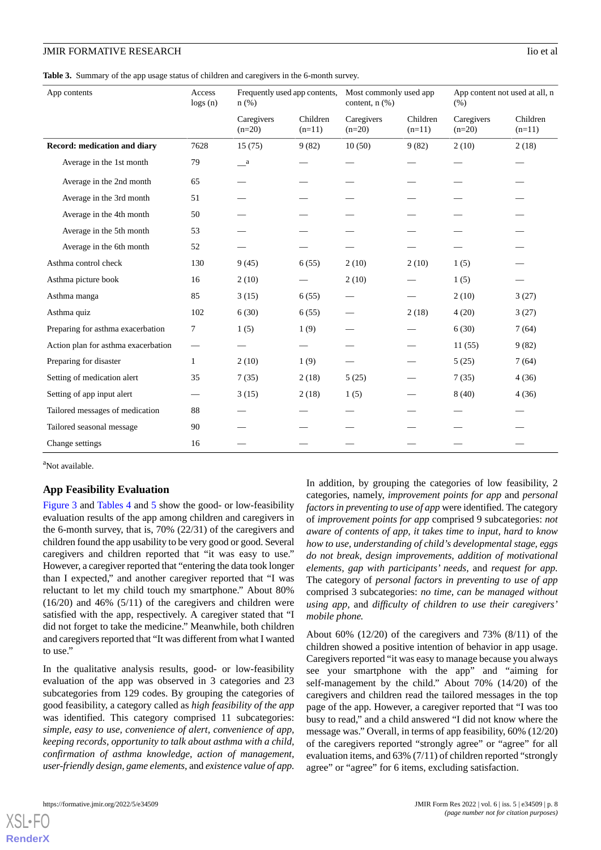<span id="page-7-0"></span>**Table 3.** Summary of the app usage status of children and caregivers in the 6-month survey.

| App contents                        | Access<br>$\log s(n)$ | Frequently used app contents,<br>$n$ (%) |                      | Most commonly used app<br>content, $n$ $(\%)$ |                      | App content not used at all, n<br>(% ) |                      |
|-------------------------------------|-----------------------|------------------------------------------|----------------------|-----------------------------------------------|----------------------|----------------------------------------|----------------------|
|                                     |                       | Caregivers<br>$(n=20)$                   | Children<br>$(n=11)$ | Caregivers<br>$(n=20)$                        | Children<br>$(n=11)$ | Caregivers<br>$(n=20)$                 | Children<br>$(n=11)$ |
| Record: medication and diary        | 7628                  | 15(75)                                   | 9(82)                | 10(50)                                        | 9(82)                | 2(10)                                  | 2(18)                |
| Average in the 1st month            | 79                    | $\mathbf{a}$                             |                      |                                               |                      |                                        |                      |
| Average in the 2nd month            | 65                    |                                          |                      |                                               |                      |                                        |                      |
| Average in the 3rd month            | 51                    |                                          |                      |                                               |                      |                                        |                      |
| Average in the 4th month            | 50                    |                                          |                      |                                               |                      |                                        |                      |
| Average in the 5th month            | 53                    |                                          |                      |                                               |                      |                                        |                      |
| Average in the 6th month            | 52                    |                                          |                      |                                               |                      |                                        |                      |
| Asthma control check                | 130                   | 9(45)                                    | 6(55)                | 2(10)                                         | 2(10)                | 1(5)                                   |                      |
| Asthma picture book                 | 16                    | 2(10)                                    |                      | 2(10)                                         |                      | 1(5)                                   |                      |
| Asthma manga                        | 85                    | 3(15)                                    | 6(55)                |                                               |                      | 2(10)                                  | 3(27)                |
| Asthma quiz                         | 102                   | 6(30)                                    | 6(55)                |                                               | 2(18)                | 4(20)                                  | 3(27)                |
| Preparing for asthma exacerbation   | 7                     | 1(5)                                     | 1(9)                 |                                               |                      | 6(30)                                  | 7(64)                |
| Action plan for asthma exacerbation | -                     |                                          |                      |                                               |                      | 11(55)                                 | 9(82)                |
| Preparing for disaster              | $\mathbf{1}$          | 2(10)                                    | 1(9)                 |                                               |                      | 5(25)                                  | 7(64)                |
| Setting of medication alert         | 35                    | 7(35)                                    | 2(18)                | 5(25)                                         |                      | 7(35)                                  | 4(36)                |
| Setting of app input alert          |                       | 3(15)                                    | 2(18)                | 1(5)                                          |                      | 8(40)                                  | 4(36)                |
| Tailored messages of medication     | 88                    |                                          |                      |                                               |                      |                                        |                      |
| Tailored seasonal message           | 90                    |                                          |                      |                                               |                      |                                        |                      |
| Change settings                     | 16                    |                                          |                      |                                               |                      |                                        |                      |

<sup>a</sup>Not available.

#### **App Feasibility Evaluation**

[Figure 3](#page-8-0) and [Tables 4](#page-8-1) and [5](#page-9-0) show the good- or low-feasibility evaluation results of the app among children and caregivers in the 6-month survey, that is, 70% (22/31) of the caregivers and children found the app usability to be very good or good. Several caregivers and children reported that "it was easy to use." However, a caregiver reported that "entering the data took longer than I expected," and another caregiver reported that "I was reluctant to let my child touch my smartphone." About 80%  $(16/20)$  and  $46\%$   $(5/11)$  of the caregivers and children were satisfied with the app, respectively. A caregiver stated that "I did not forget to take the medicine." Meanwhile, both children and caregivers reported that "It was different from what I wanted to use."

In the qualitative analysis results, good- or low-feasibility evaluation of the app was observed in 3 categories and 23 subcategories from 129 codes. By grouping the categories of good feasibility, a category called as *high feasibility of the app* was identified. This category comprised 11 subcategories: *simple, easy to use, convenience of alert, convenience of app, keeping records, opportunity to talk about asthma with a child, confirmation of asthma knowledge, action of management, user-friendly design, game elements,* and *existence value of app.*

In addition, by grouping the categories of low feasibility, 2 categories, namely, *improvement points for app* and *personal factors in preventing to use of app* were identified. The category of *improvement points for app* comprised 9 subcategories: *not aware of contents of app, it takes time to input, hard to know how to use, understanding of child's developmental stage, eggs do not break, design improvements, addition of motivational elements, gap with participants' needs,* and *request for app.* The category of *personal factors in preventing to use of app* comprised 3 subcategories: *no time, can be managed without using app,* and *difficulty of children to use their caregivers' mobile phone.*

About 60% (12/20) of the caregivers and 73% (8/11) of the children showed a positive intention of behavior in app usage. Caregivers reported "it was easy to manage because you always see your smartphone with the app" and "aiming for self-management by the child." About 70% (14/20) of the caregivers and children read the tailored messages in the top page of the app. However, a caregiver reported that "I was too busy to read," and a child answered "I did not know where the message was." Overall, in terms of app feasibility, 60% (12/20) of the caregivers reported "strongly agree" or "agree" for all evaluation items, and 63% (7/11) of children reported "strongly agree" or "agree" for 6 items, excluding satisfaction.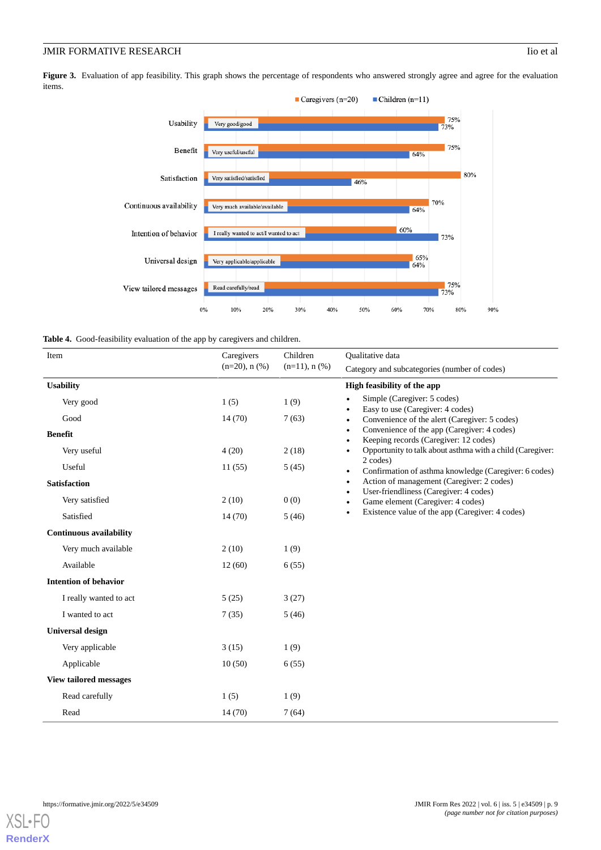# **JMIR FORMATIVE RESEARCH** Iio et al.

<span id="page-8-0"></span>Figure 3. Evaluation of app feasibility. This graph shows the percentage of respondents who answered strongly agree and agree for the evaluation items.



<span id="page-8-1"></span>

| Item<br>Caregivers             |                     | Children            | Qualitative data                                                                                               |  |  |  |
|--------------------------------|---------------------|---------------------|----------------------------------------------------------------------------------------------------------------|--|--|--|
|                                | $(n=20)$ , n $(\%)$ | $(n=11)$ , n $(\%)$ | Category and subcategories (number of codes)                                                                   |  |  |  |
| <b>Usability</b>               |                     |                     | High feasibility of the app                                                                                    |  |  |  |
| Very good                      | 1(5)                | 1(9)                | Simple (Caregiver: 5 codes)<br>$\bullet$<br>Easy to use (Caregiver: 4 codes)<br>$\bullet$                      |  |  |  |
| Good                           | 14(70)              | 7(63)               | Convenience of the alert (Caregiver: 5 codes)<br>$\bullet$                                                     |  |  |  |
| <b>Benefit</b>                 |                     |                     | Convenience of the app (Caregiver: 4 codes)<br>$\bullet$<br>Keeping records (Caregiver: 12 codes)<br>$\bullet$ |  |  |  |
| Very useful                    | 4(20)               | 2(18)               | Opportunity to talk about asthma with a child (Caregiver:<br>$\bullet$                                         |  |  |  |
| Useful                         | 11(55)              | 5(45)               | 2 codes)<br>Confirmation of asthma knowledge (Caregiver: 6 codes)<br>$\bullet$                                 |  |  |  |
| <b>Satisfaction</b>            |                     |                     | Action of management (Caregiver: 2 codes)<br>$\bullet$                                                         |  |  |  |
| Very satisfied                 | 2(10)               | 0(0)                | User-friendliness (Caregiver: 4 codes)<br>$\bullet$<br>Game element (Caregiver: 4 codes)<br>$\bullet$          |  |  |  |
| Satisfied                      | 14(70)              | 5(46)               | Existence value of the app (Caregiver: 4 codes)<br>$\bullet$                                                   |  |  |  |
| <b>Continuous availability</b> |                     |                     |                                                                                                                |  |  |  |
| Very much available            | 2(10)               | 1(9)                |                                                                                                                |  |  |  |
| Available                      | 12(60)              | 6(55)               |                                                                                                                |  |  |  |
| <b>Intention of behavior</b>   |                     |                     |                                                                                                                |  |  |  |
| I really wanted to act         | 5(25)               | 3(27)               |                                                                                                                |  |  |  |
| I wanted to act                | 7(35)               | 5(46)               |                                                                                                                |  |  |  |
| <b>Universal design</b>        |                     |                     |                                                                                                                |  |  |  |
| Very applicable                | 3(15)               | 1(9)                |                                                                                                                |  |  |  |
| Applicable                     | 10(50)              | 6(55)               |                                                                                                                |  |  |  |
| <b>View tailored messages</b>  |                     |                     |                                                                                                                |  |  |  |
| Read carefully                 | 1(5)                | 1(9)                |                                                                                                                |  |  |  |
| Read                           | 14 (70)             | 7(64)               |                                                                                                                |  |  |  |

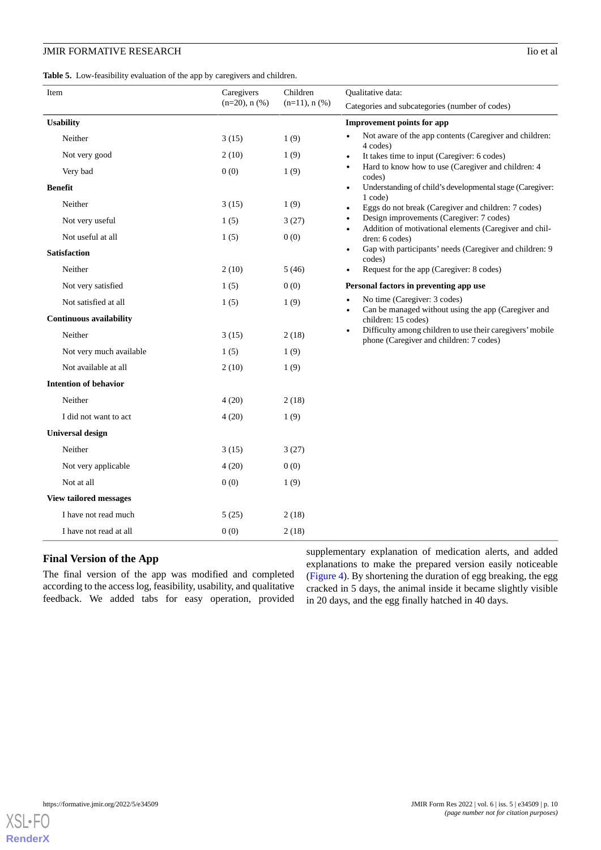<span id="page-9-0"></span>

|  |  | Table 5. Low-feasibility evaluation of the app by caregivers and children. |  |  |
|--|--|----------------------------------------------------------------------------|--|--|
|--|--|----------------------------------------------------------------------------|--|--|

| Item                           | Caregivers<br>$(n=20)$ , n $(\%)$ | Children<br>$(n=11)$ , n $(\%)$ | <b>Oualitative data:</b><br>Categories and subcategories (number of codes)                                        |  |  |  |
|--------------------------------|-----------------------------------|---------------------------------|-------------------------------------------------------------------------------------------------------------------|--|--|--|
| <b>Usability</b>               |                                   |                                 | <b>Improvement points for app</b>                                                                                 |  |  |  |
| Neither                        | 3(15)                             | 1(9)                            | Not aware of the app contents (Caregiver and children:<br>4 codes)                                                |  |  |  |
| Not very good                  | 2(10)                             | 1(9)                            | It takes time to input (Caregiver: 6 codes)<br>$\bullet$                                                          |  |  |  |
| Very bad                       | 0(0)                              | 1(9)                            | Hard to know how to use (Caregiver and children: 4<br>codes)                                                      |  |  |  |
| <b>Benefit</b>                 |                                   |                                 | Understanding of child's developmental stage (Caregiver:<br>$\bullet$                                             |  |  |  |
| Neither                        | 3(15)                             | 1(9)                            | 1 code)<br>Eggs do not break (Caregiver and children: 7 codes)<br>$\bullet$                                       |  |  |  |
| Not very useful                | 1(5)                              | 3(27)                           | Design improvements (Caregiver: 7 codes)<br>٠                                                                     |  |  |  |
| Not useful at all              | 1(5)                              | 0(0)                            | Addition of motivational elements (Caregiver and chil-<br>dren: 6 codes)                                          |  |  |  |
| <b>Satisfaction</b>            |                                   |                                 | Gap with participants' needs (Caregiver and children: 9)<br>$\bullet$<br>codes)                                   |  |  |  |
| Neither                        | 2(10)                             | 5(46)                           | Request for the app (Caregiver: 8 codes)<br>$\bullet$                                                             |  |  |  |
| Not very satisfied             | 1(5)                              | 0(0)                            | Personal factors in preventing app use                                                                            |  |  |  |
| Not satisfied at all           | 1(5)                              | 1(9)                            | No time (Caregiver: 3 codes)                                                                                      |  |  |  |
| <b>Continuous availability</b> |                                   |                                 | Can be managed without using the app (Caregiver and<br>children: 15 codes)                                        |  |  |  |
| Neither                        | 3(15)                             | 2(18)                           | Difficulty among children to use their caregivers' mobile<br>$\bullet$<br>phone (Caregiver and children: 7 codes) |  |  |  |
| Not very much available        | 1(5)                              | 1(9)                            |                                                                                                                   |  |  |  |
| Not available at all           | 2(10)                             | 1(9)                            |                                                                                                                   |  |  |  |
| <b>Intention of behavior</b>   |                                   |                                 |                                                                                                                   |  |  |  |
| Neither                        | 4(20)                             | 2(18)                           |                                                                                                                   |  |  |  |
| I did not want to act          | 4(20)                             | 1(9)                            |                                                                                                                   |  |  |  |
| <b>Universal design</b>        |                                   |                                 |                                                                                                                   |  |  |  |
| Neither                        | 3(15)                             | 3(27)                           |                                                                                                                   |  |  |  |
| Not very applicable            | 4(20)                             | 0(0)                            |                                                                                                                   |  |  |  |
| Not at all                     | 0(0)                              | 1(9)                            |                                                                                                                   |  |  |  |
| <b>View tailored messages</b>  |                                   |                                 |                                                                                                                   |  |  |  |
| I have not read much           | 5(25)                             | 2(18)                           |                                                                                                                   |  |  |  |
| I have not read at all         | 0(0)                              | 2(18)                           |                                                                                                                   |  |  |  |

# **Final Version of the App**

The final version of the app was modified and completed according to the access log, feasibility, usability, and qualitative feedback. We added tabs for easy operation, provided supplementary explanation of medication alerts, and added explanations to make the prepared version easily noticeable ([Figure 4](#page-10-0)). By shortening the duration of egg breaking, the egg cracked in 5 days, the animal inside it became slightly visible in 20 days, and the egg finally hatched in 40 days.

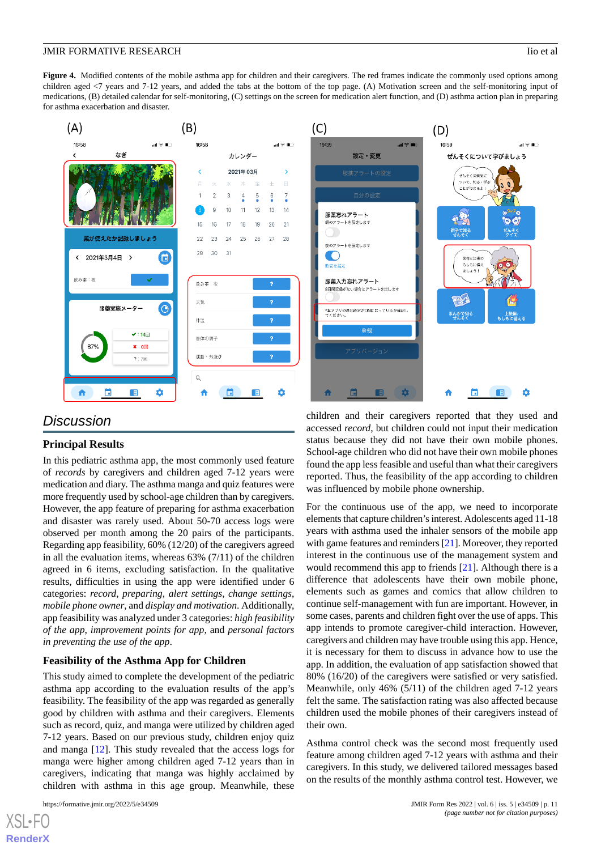<span id="page-10-0"></span>**Figure 4.** Modified contents of the mobile asthma app for children and their caregivers. The red frames indicate the commonly used options among children aged <7 years and 7-12 years, and added the tabs at the bottom of the top page. (A) Motivation screen and the self-monitoring input of medications, (B) detailed calendar for self-monitoring, (C) settings on the screen for medication alert function, and (D) asthma action plan in preparing for asthma exacerbation and disaster.



# *Discussion*

# **Principal Results**

In this pediatric asthma app, the most commonly used feature of *records* by caregivers and children aged 7-12 years were medication and diary. The asthma manga and quiz features were more frequently used by school-age children than by caregivers. However, the app feature of preparing for asthma exacerbation and disaster was rarely used. About 50-70 access logs were observed per month among the 20 pairs of the participants. Regarding app feasibility, 60% (12/20) of the caregivers agreed in all the evaluation items, whereas 63% (7/11) of the children agreed in 6 items, excluding satisfaction. In the qualitative results, difficulties in using the app were identified under 6 categories: *record*, *preparing*, *alert settings*, *change settings*, *mobile phone owner*, and *display and motivation*. Additionally, app feasibility was analyzed under 3 categories: *high feasibility of the app*, *improvement points for app*, and *personal factors in preventing the use of the app*.

# **Feasibility of the Asthma App for Children**

This study aimed to complete the development of the pediatric asthma app according to the evaluation results of the app's feasibility. The feasibility of the app was regarded as generally good by children with asthma and their caregivers. Elements such as record, quiz, and manga were utilized by children aged 7-12 years. Based on our previous study, children enjoy quiz and manga [[12\]](#page-13-4). This study revealed that the access logs for manga were higher among children aged 7-12 years than in caregivers, indicating that manga was highly acclaimed by children with asthma in this age group. Meanwhile, these

 $XS$  • F( **[RenderX](http://www.renderx.com/)** children and their caregivers reported that they used and accessed *record*, but children could not input their medication status because they did not have their own mobile phones. School-age children who did not have their own mobile phones found the app less feasible and useful than what their caregivers reported. Thus, the feasibility of the app according to children was influenced by mobile phone ownership.

For the continuous use of the app, we need to incorporate elements that capture children's interest. Adolescents aged 11-18 years with asthma used the inhaler sensors of the mobile app with game features and reminders [[21\]](#page-13-13). Moreover, they reported interest in the continuous use of the management system and would recommend this app to friends [\[21](#page-13-13)]. Although there is a difference that adolescents have their own mobile phone, elements such as games and comics that allow children to continue self-management with fun are important. However, in some cases, parents and children fight over the use of apps. This app intends to promote caregiver-child interaction. However, caregivers and children may have trouble using this app. Hence, it is necessary for them to discuss in advance how to use the app. In addition, the evaluation of app satisfaction showed that 80% (16/20) of the caregivers were satisfied or very satisfied. Meanwhile, only 46% (5/11) of the children aged 7-12 years felt the same. The satisfaction rating was also affected because children used the mobile phones of their caregivers instead of their own.

Asthma control check was the second most frequently used feature among children aged 7-12 years with asthma and their caregivers. In this study, we delivered tailored messages based on the results of the monthly asthma control test. However, we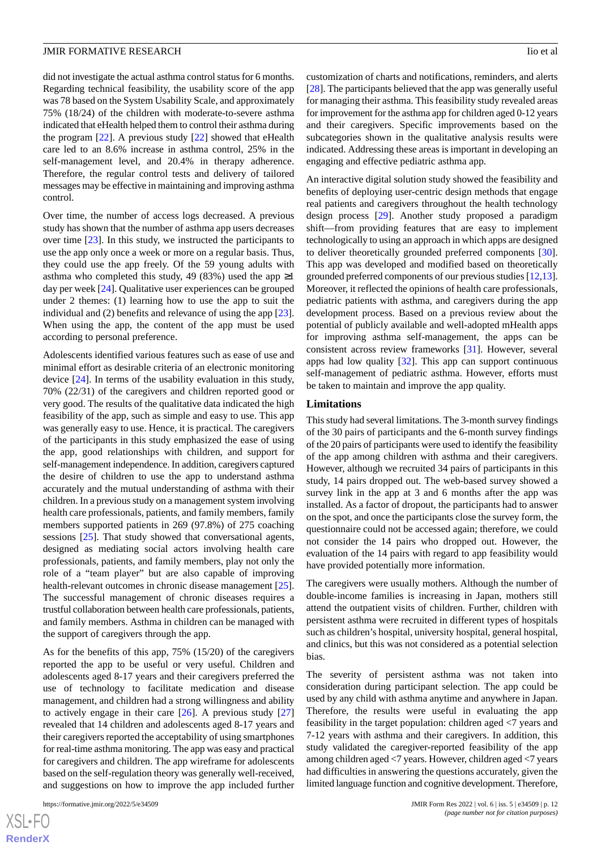did not investigate the actual asthma control status for 6 months. Regarding technical feasibility, the usability score of the app was 78 based on the System Usability Scale, and approximately 75% (18/24) of the children with moderate-to-severe asthma indicated that eHealth helped them to control their asthma during the program [\[22](#page-13-14)]. A previous study [[22\]](#page-13-14) showed that eHealth care led to an 8.6% increase in asthma control, 25% in the self-management level, and 20.4% in therapy adherence. Therefore, the regular control tests and delivery of tailored messages may be effective in maintaining and improving asthma control.

Over time, the number of access logs decreased. A previous study has shown that the number of asthma app users decreases over time [\[23](#page-13-15)]. In this study, we instructed the participants to use the app only once a week or more on a regular basis. Thus, they could use the app freely. Of the 59 young adults with asthma who completed this study, 49 (83%) used the app  $\geq$ 1 day per week [\[24](#page-13-16)]. Qualitative user experiences can be grouped under 2 themes: (1) learning how to use the app to suit the individual and (2) benefits and relevance of using the app [[23\]](#page-13-15). When using the app, the content of the app must be used according to personal preference.

Adolescents identified various features such as ease of use and minimal effort as desirable criteria of an electronic monitoring device [[24\]](#page-13-16). In terms of the usability evaluation in this study, 70% (22/31) of the caregivers and children reported good or very good. The results of the qualitative data indicated the high feasibility of the app, such as simple and easy to use. This app was generally easy to use. Hence, it is practical. The caregivers of the participants in this study emphasized the ease of using the app, good relationships with children, and support for self-management independence. In addition, caregivers captured the desire of children to use the app to understand asthma accurately and the mutual understanding of asthma with their children. In a previous study on a management system involving health care professionals, patients, and family members, family members supported patients in 269 (97.8%) of 275 coaching sessions [\[25](#page-13-17)]. That study showed that conversational agents, designed as mediating social actors involving health care professionals, patients, and family members, play not only the role of a "team player" but are also capable of improving health-relevant outcomes in chronic disease management [[25\]](#page-13-17). The successful management of chronic diseases requires a trustful collaboration between health care professionals, patients, and family members. Asthma in children can be managed with the support of caregivers through the app.

As for the benefits of this app, 75% (15/20) of the caregivers reported the app to be useful or very useful. Children and adolescents aged 8-17 years and their caregivers preferred the use of technology to facilitate medication and disease management, and children had a strong willingness and ability to actively engage in their care  $[26]$  $[26]$ . A previous study  $[27]$  $[27]$ revealed that 14 children and adolescents aged 8-17 years and their caregivers reported the acceptability of using smartphones for real-time asthma monitoring. The app was easy and practical for caregivers and children. The app wireframe for adolescents based on the self-regulation theory was generally well-received, and suggestions on how to improve the app included further

customization of charts and notifications, reminders, and alerts [[28\]](#page-13-20). The participants believed that the app was generally useful for managing their asthma. This feasibility study revealed areas for improvement for the asthma app for children aged 0-12 years and their caregivers. Specific improvements based on the subcategories shown in the qualitative analysis results were indicated. Addressing these areas is important in developing an engaging and effective pediatric asthma app.

An interactive digital solution study showed the feasibility and benefits of deploying user-centric design methods that engage real patients and caregivers throughout the health technology design process [[29\]](#page-13-21). Another study proposed a paradigm shift—from providing features that are easy to implement technologically to using an approach in which apps are designed to deliver theoretically grounded preferred components [[30\]](#page-13-22). This app was developed and modified based on theoretically grounded preferred components of our previous studies [[12,](#page-13-4)[13](#page-13-5)]. Moreover, it reflected the opinions of health care professionals, pediatric patients with asthma, and caregivers during the app development process. Based on a previous review about the potential of publicly available and well-adopted mHealth apps for improving asthma self-management, the apps can be consistent across review frameworks [[31\]](#page-14-0). However, several apps had low quality [[32\]](#page-14-1). This app can support continuous self-management of pediatric asthma. However, efforts must be taken to maintain and improve the app quality.

#### **Limitations**

This study had several limitations. The 3-month survey findings of the 30 pairs of participants and the 6-month survey findings of the 20 pairs of participants were used to identify the feasibility of the app among children with asthma and their caregivers. However, although we recruited 34 pairs of participants in this study, 14 pairs dropped out. The web-based survey showed a survey link in the app at 3 and 6 months after the app was installed. As a factor of dropout, the participants had to answer on the spot, and once the participants close the survey form, the questionnaire could not be accessed again; therefore, we could not consider the 14 pairs who dropped out. However, the evaluation of the 14 pairs with regard to app feasibility would have provided potentially more information.

The caregivers were usually mothers. Although the number of double-income families is increasing in Japan, mothers still attend the outpatient visits of children. Further, children with persistent asthma were recruited in different types of hospitals such as children's hospital, university hospital, general hospital, and clinics, but this was not considered as a potential selection bias.

The severity of persistent asthma was not taken into consideration during participant selection. The app could be used by any child with asthma anytime and anywhere in Japan. Therefore, the results were useful in evaluating the app feasibility in the target population: children aged <7 years and 7-12 years with asthma and their caregivers. In addition, this study validated the caregiver-reported feasibility of the app among children aged <7 years. However, children aged <7 years had difficulties in answering the questions accurately, given the limited language function and cognitive development. Therefore,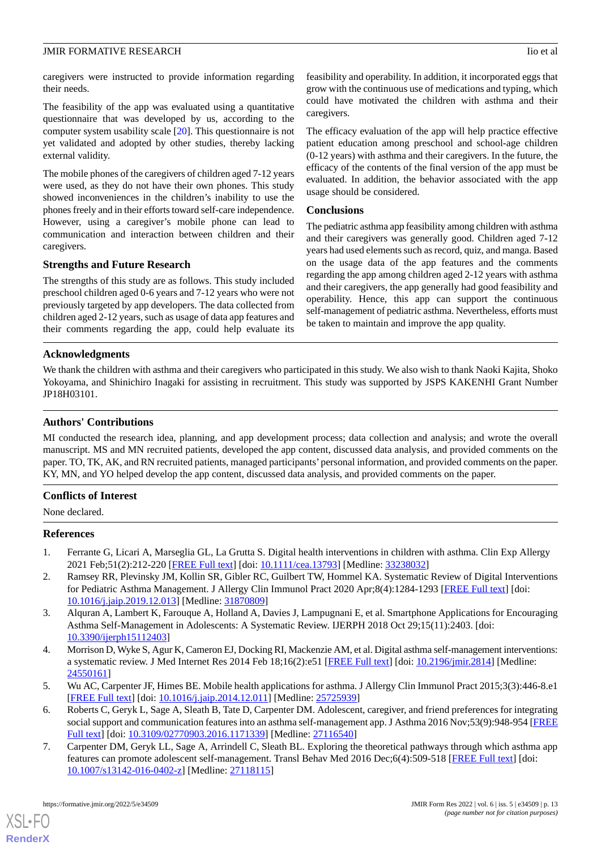caregivers were instructed to provide information regarding their needs.

The feasibility of the app was evaluated using a quantitative questionnaire that was developed by us, according to the computer system usability scale [\[20](#page-13-12)]. This questionnaire is not yet validated and adopted by other studies, thereby lacking external validity.

The mobile phones of the caregivers of children aged 7-12 years were used, as they do not have their own phones. This study showed inconveniences in the children's inability to use the phones freely and in their efforts toward self-care independence. However, using a caregiver's mobile phone can lead to communication and interaction between children and their caregivers.

# **Strengths and Future Research**

The strengths of this study are as follows. This study included preschool children aged 0-6 years and 7-12 years who were not previously targeted by app developers. The data collected from children aged 2-12 years, such as usage of data app features and their comments regarding the app, could help evaluate its

feasibility and operability. In addition, it incorporated eggs that grow with the continuous use of medications and typing, which could have motivated the children with asthma and their caregivers.

The efficacy evaluation of the app will help practice effective patient education among preschool and school-age children (0-12 years) with asthma and their caregivers. In the future, the efficacy of the contents of the final version of the app must be evaluated. In addition, the behavior associated with the app usage should be considered.

#### **Conclusions**

The pediatric asthma app feasibility among children with asthma and their caregivers was generally good. Children aged 7-12 years had used elements such as record, quiz, and manga. Based on the usage data of the app features and the comments regarding the app among children aged 2-12 years with asthma and their caregivers, the app generally had good feasibility and operability. Hence, this app can support the continuous self-management of pediatric asthma. Nevertheless, efforts must be taken to maintain and improve the app quality.

# **Acknowledgments**

We thank the children with asthma and their caregivers who participated in this study. We also wish to thank Naoki Kajita, Shoko Yokoyama, and Shinichiro Inagaki for assisting in recruitment. This study was supported by JSPS KAKENHI Grant Number JP18H03101.

## **Authors' Contributions**

MI conducted the research idea, planning, and app development process; data collection and analysis; and wrote the overall manuscript. MS and MN recruited patients, developed the app content, discussed data analysis, and provided comments on the paper. TO, TK, AK, and RN recruited patients, managed participants' personal information, and provided comments on the paper. KY, MN, and YO helped develop the app content, discussed data analysis, and provided comments on the paper.

#### <span id="page-12-0"></span>**Conflicts of Interest**

<span id="page-12-1"></span>None declared.

#### **References**

- <span id="page-12-2"></span>1. Ferrante G, Licari A, Marseglia GL, La Grutta S. Digital health interventions in children with asthma. Clin Exp Allergy 2021 Feb;51(2):212-220 [\[FREE Full text\]](http://europepmc.org/abstract/MED/33238032) [doi: [10.1111/cea.13793](http://dx.doi.org/10.1111/cea.13793)] [Medline: [33238032\]](http://www.ncbi.nlm.nih.gov/entrez/query.fcgi?cmd=Retrieve&db=PubMed&list_uids=33238032&dopt=Abstract)
- <span id="page-12-3"></span>2. Ramsey RR, Plevinsky JM, Kollin SR, Gibler RC, Guilbert TW, Hommel KA. Systematic Review of Digital Interventions for Pediatric Asthma Management. J Allergy Clin Immunol Pract 2020 Apr;8(4):1284-1293 [\[FREE Full text\]](http://europepmc.org/abstract/MED/31870809) [doi: [10.1016/j.jaip.2019.12.013\]](http://dx.doi.org/10.1016/j.jaip.2019.12.013) [Medline: [31870809](http://www.ncbi.nlm.nih.gov/entrez/query.fcgi?cmd=Retrieve&db=PubMed&list_uids=31870809&dopt=Abstract)]
- <span id="page-12-4"></span>3. Alquran A, Lambert K, Farouque A, Holland A, Davies J, Lampugnani E, et al. Smartphone Applications for Encouraging Asthma Self-Management in Adolescents: A Systematic Review. IJERPH 2018 Oct 29;15(11):2403. [doi: [10.3390/ijerph15112403](http://dx.doi.org/10.3390/ijerph15112403)]
- <span id="page-12-5"></span>4. Morrison D, Wyke S, Agur K, Cameron EJ, Docking RI, Mackenzie AM, et al. Digital asthma self-management interventions: a systematic review. J Med Internet Res 2014 Feb 18;16(2):e51 [\[FREE Full text\]](https://www.jmir.org/2014/2/e51/) [doi: [10.2196/jmir.2814\]](http://dx.doi.org/10.2196/jmir.2814) [Medline: [24550161](http://www.ncbi.nlm.nih.gov/entrez/query.fcgi?cmd=Retrieve&db=PubMed&list_uids=24550161&dopt=Abstract)]
- <span id="page-12-6"></span>5. Wu AC, Carpenter JF, Himes BE. Mobile health applications for asthma. J Allergy Clin Immunol Pract 2015;3(3):446-8.e1 [[FREE Full text](http://europepmc.org/abstract/MED/25725939)] [doi: [10.1016/j.jaip.2014.12.011\]](http://dx.doi.org/10.1016/j.jaip.2014.12.011) [Medline: [25725939](http://www.ncbi.nlm.nih.gov/entrez/query.fcgi?cmd=Retrieve&db=PubMed&list_uids=25725939&dopt=Abstract)]
- 6. Roberts C, Geryk L, Sage A, Sleath B, Tate D, Carpenter DM. Adolescent, caregiver, and friend preferences for integrating social support and communication features into an asthma self-management app. J Asthma 2016 Nov;53(9):948-954 [\[FREE](http://europepmc.org/abstract/MED/27116540) [Full text\]](http://europepmc.org/abstract/MED/27116540) [doi: [10.3109/02770903.2016.1171339](http://dx.doi.org/10.3109/02770903.2016.1171339)] [Medline: [27116540](http://www.ncbi.nlm.nih.gov/entrez/query.fcgi?cmd=Retrieve&db=PubMed&list_uids=27116540&dopt=Abstract)]
- 7. Carpenter DM, Geryk LL, Sage A, Arrindell C, Sleath BL. Exploring the theoretical pathways through which asthma app features can promote adolescent self-management. Transl Behav Med 2016 Dec;6(4):509-518 [[FREE Full text](http://europepmc.org/abstract/MED/27118115)] [doi: [10.1007/s13142-016-0402-z](http://dx.doi.org/10.1007/s13142-016-0402-z)] [Medline: [27118115\]](http://www.ncbi.nlm.nih.gov/entrez/query.fcgi?cmd=Retrieve&db=PubMed&list_uids=27118115&dopt=Abstract)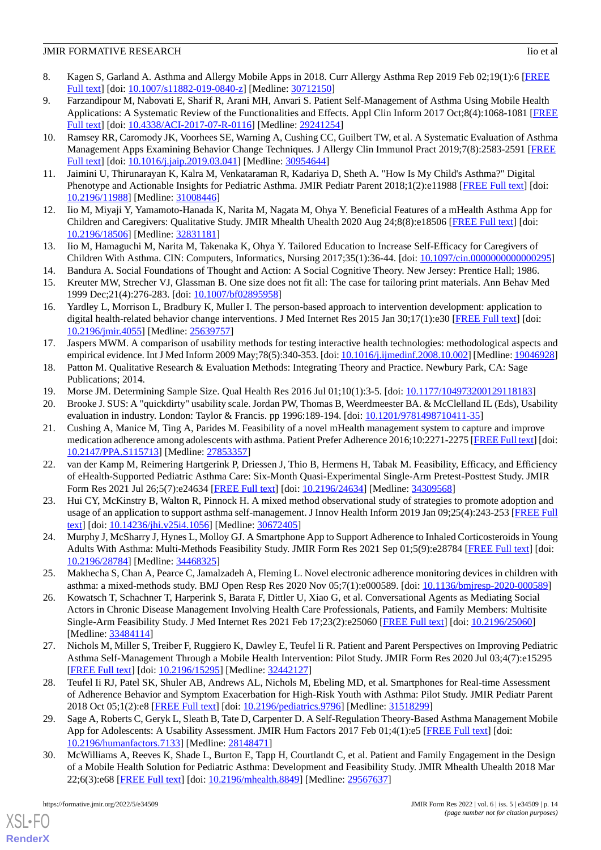- <span id="page-13-0"></span>8. Kagen S, Garland A. Asthma and Allergy Mobile Apps in 2018. Curr Allergy Asthma Rep 2019 Feb 02;19(1):6 [\[FREE](http://europepmc.org/abstract/MED/30712150) [Full text\]](http://europepmc.org/abstract/MED/30712150) [doi: [10.1007/s11882-019-0840-z\]](http://dx.doi.org/10.1007/s11882-019-0840-z) [Medline: [30712150\]](http://www.ncbi.nlm.nih.gov/entrez/query.fcgi?cmd=Retrieve&db=PubMed&list_uids=30712150&dopt=Abstract)
- <span id="page-13-1"></span>9. Farzandipour M, Nabovati E, Sharif R, Arani MH, Anvari S. Patient Self-Management of Asthma Using Mobile Health Applications: A Systematic Review of the Functionalities and Effects. Appl Clin Inform 2017 Oct;8(4):1068-1081 [\[FREE](http://europepmc.org/abstract/MED/29241254) [Full text\]](http://europepmc.org/abstract/MED/29241254) [doi: [10.4338/ACI-2017-07-R-0116](http://dx.doi.org/10.4338/ACI-2017-07-R-0116)] [Medline: [29241254](http://www.ncbi.nlm.nih.gov/entrez/query.fcgi?cmd=Retrieve&db=PubMed&list_uids=29241254&dopt=Abstract)]
- <span id="page-13-2"></span>10. Ramsey RR, Caromody JK, Voorhees SE, Warning A, Cushing CC, Guilbert TW, et al. A Systematic Evaluation of Asthma Management Apps Examining Behavior Change Techniques. J Allergy Clin Immunol Pract 2019;7(8):2583-2591 [\[FREE](http://europepmc.org/abstract/MED/30954644) [Full text\]](http://europepmc.org/abstract/MED/30954644) [doi: [10.1016/j.jaip.2019.03.041](http://dx.doi.org/10.1016/j.jaip.2019.03.041)] [Medline: [30954644](http://www.ncbi.nlm.nih.gov/entrez/query.fcgi?cmd=Retrieve&db=PubMed&list_uids=30954644&dopt=Abstract)]
- <span id="page-13-4"></span><span id="page-13-3"></span>11. Jaimini U, Thirunarayan K, Kalra M, Venkataraman R, Kadariya D, Sheth A. "How Is My Child's Asthma?" Digital Phenotype and Actionable Insights for Pediatric Asthma. JMIR Pediatr Parent 2018;1(2):e11988 [\[FREE Full text\]](https://pediatrics.jmir.org/2018/2/e11988/) [doi: [10.2196/11988\]](http://dx.doi.org/10.2196/11988) [Medline: [31008446\]](http://www.ncbi.nlm.nih.gov/entrez/query.fcgi?cmd=Retrieve&db=PubMed&list_uids=31008446&dopt=Abstract)
- <span id="page-13-5"></span>12. Iio M, Miyaji Y, Yamamoto-Hanada K, Narita M, Nagata M, Ohya Y. Beneficial Features of a mHealth Asthma App for Children and Caregivers: Qualitative Study. JMIR Mhealth Uhealth 2020 Aug 24;8(8):e18506 [\[FREE Full text\]](https://mhealth.jmir.org/2020/8/e18506/) [doi: [10.2196/18506\]](http://dx.doi.org/10.2196/18506) [Medline: [32831181\]](http://www.ncbi.nlm.nih.gov/entrez/query.fcgi?cmd=Retrieve&db=PubMed&list_uids=32831181&dopt=Abstract)
- <span id="page-13-7"></span><span id="page-13-6"></span>13. Iio M, Hamaguchi M, Narita M, Takenaka K, Ohya Y. Tailored Education to Increase Self-Efficacy for Caregivers of Children With Asthma. CIN: Computers, Informatics, Nursing 2017;35(1):36-44. [doi: [10.1097/cin.0000000000000295](http://dx.doi.org/10.1097/cin.0000000000000295)]
- <span id="page-13-8"></span>14. Bandura A. Social Foundations of Thought and Action: A Social Cognitive Theory. New Jersey: Prentice Hall; 1986.
- 15. Kreuter MW, Strecher VJ, Glassman B. One size does not fit all: The case for tailoring print materials. Ann Behav Med 1999 Dec;21(4):276-283. [doi: [10.1007/bf02895958\]](http://dx.doi.org/10.1007/bf02895958)
- <span id="page-13-9"></span>16. Yardley L, Morrison L, Bradbury K, Muller I. The person-based approach to intervention development: application to digital health-related behavior change interventions. J Med Internet Res 2015 Jan 30;17(1):e30 [\[FREE Full text\]](https://www.jmir.org/2015/1/e30/) [doi: [10.2196/jmir.4055](http://dx.doi.org/10.2196/jmir.4055)] [Medline: [25639757](http://www.ncbi.nlm.nih.gov/entrez/query.fcgi?cmd=Retrieve&db=PubMed&list_uids=25639757&dopt=Abstract)]
- <span id="page-13-11"></span><span id="page-13-10"></span>17. Jaspers MWM. A comparison of usability methods for testing interactive health technologies: methodological aspects and empirical evidence. Int J Med Inform 2009 May;78(5):340-353. [doi: [10.1016/j.ijmedinf.2008.10.002\]](http://dx.doi.org/10.1016/j.ijmedinf.2008.10.002) [Medline: [19046928\]](http://www.ncbi.nlm.nih.gov/entrez/query.fcgi?cmd=Retrieve&db=PubMed&list_uids=19046928&dopt=Abstract)
- <span id="page-13-12"></span>18. Patton M. Qualitative Research & Evaluation Methods: Integrating Theory and Practice. Newbury Park, CA: Sage Publications; 2014.
- <span id="page-13-13"></span>19. Morse JM. Determining Sample Size. Qual Health Res 2016 Jul 01;10(1):3-5. [doi: [10.1177/104973200129118183\]](http://dx.doi.org/10.1177/104973200129118183)
- 20. Brooke J. SUS: A "quickdirty" usability scale. Jordan PW, Thomas B, Weerdmeester BA. & McClelland IL (Eds), Usability evaluation in industry. London: Taylor & Francis. pp 1996:189-194. [doi: [10.1201/9781498710411-35\]](http://dx.doi.org/10.1201/9781498710411-35)
- <span id="page-13-14"></span>21. Cushing A, Manice M, Ting A, Parides M. Feasibility of a novel mHealth management system to capture and improve medication adherence among adolescents with asthma. Patient Prefer Adherence 2016;10:2271-2275 [[FREE Full text\]](https://dx.doi.org/10.2147/PPA.S115713) [doi: [10.2147/PPA.S115713](http://dx.doi.org/10.2147/PPA.S115713)] [Medline: [27853357](http://www.ncbi.nlm.nih.gov/entrez/query.fcgi?cmd=Retrieve&db=PubMed&list_uids=27853357&dopt=Abstract)]
- <span id="page-13-15"></span>22. van der Kamp M, Reimering Hartgerink P, Driessen J, Thio B, Hermens H, Tabak M. Feasibility, Efficacy, and Efficiency of eHealth-Supported Pediatric Asthma Care: Six-Month Quasi-Experimental Single-Arm Pretest-Posttest Study. JMIR Form Res 2021 Jul 26;5(7):e24634 [\[FREE Full text\]](https://formative.jmir.org/2021/7/e24634/) [doi: [10.2196/24634](http://dx.doi.org/10.2196/24634)] [Medline: [34309568\]](http://www.ncbi.nlm.nih.gov/entrez/query.fcgi?cmd=Retrieve&db=PubMed&list_uids=34309568&dopt=Abstract)
- <span id="page-13-17"></span><span id="page-13-16"></span>23. Hui CY, McKinstry B, Walton R, Pinnock H. A mixed method observational study of strategies to promote adoption and usage of an application to support asthma self-management. J Innov Health Inform 2019 Jan 09;25(4):243-253 [\[FREE Full](http://dx.doi.org/10.14236/jhi.v25i4.1056) [text](http://dx.doi.org/10.14236/jhi.v25i4.1056)] [doi: [10.14236/jhi.v25i4.1056](http://dx.doi.org/10.14236/jhi.v25i4.1056)] [Medline: [30672405\]](http://www.ncbi.nlm.nih.gov/entrez/query.fcgi?cmd=Retrieve&db=PubMed&list_uids=30672405&dopt=Abstract)
- <span id="page-13-18"></span>24. Murphy J, McSharry J, Hynes L, Molloy GJ. A Smartphone App to Support Adherence to Inhaled Corticosteroids in Young Adults With Asthma: Multi-Methods Feasibility Study. JMIR Form Res 2021 Sep 01;5(9):e28784 [[FREE Full text](https://formative.jmir.org/2021/9/e28784/)] [doi: [10.2196/28784\]](http://dx.doi.org/10.2196/28784) [Medline: [34468325\]](http://www.ncbi.nlm.nih.gov/entrez/query.fcgi?cmd=Retrieve&db=PubMed&list_uids=34468325&dopt=Abstract)
- <span id="page-13-19"></span>25. Makhecha S, Chan A, Pearce C, Jamalzadeh A, Fleming L. Novel electronic adherence monitoring devices in children with asthma: a mixed-methods study. BMJ Open Resp Res 2020 Nov 05;7(1):e000589. [doi: [10.1136/bmjresp-2020-000589](http://dx.doi.org/10.1136/bmjresp-2020-000589)]
- <span id="page-13-20"></span>26. Kowatsch T, Schachner T, Harperink S, Barata F, Dittler U, Xiao G, et al. Conversational Agents as Mediating Social Actors in Chronic Disease Management Involving Health Care Professionals, Patients, and Family Members: Multisite Single-Arm Feasibility Study. J Med Internet Res 2021 Feb 17;23(2):e25060 [[FREE Full text\]](https://www.jmir.org/2021/2/e25060/) [doi: [10.2196/25060](http://dx.doi.org/10.2196/25060)] [Medline: [33484114](http://www.ncbi.nlm.nih.gov/entrez/query.fcgi?cmd=Retrieve&db=PubMed&list_uids=33484114&dopt=Abstract)]
- <span id="page-13-21"></span>27. Nichols M, Miller S, Treiber F, Ruggiero K, Dawley E, Teufel Ii R. Patient and Parent Perspectives on Improving Pediatric Asthma Self-Management Through a Mobile Health Intervention: Pilot Study. JMIR Form Res 2020 Jul 03;4(7):e15295 [[FREE Full text](https://formative.jmir.org/2020/7/e15295/)] [doi: [10.2196/15295\]](http://dx.doi.org/10.2196/15295) [Medline: [32442127\]](http://www.ncbi.nlm.nih.gov/entrez/query.fcgi?cmd=Retrieve&db=PubMed&list_uids=32442127&dopt=Abstract)
- <span id="page-13-22"></span>28. Teufel Ii RJ, Patel SK, Shuler AB, Andrews AL, Nichols M, Ebeling MD, et al. Smartphones for Real-time Assessment of Adherence Behavior and Symptom Exacerbation for High-Risk Youth with Asthma: Pilot Study. JMIR Pediatr Parent 2018 Oct 05;1(2):e8 [\[FREE Full text\]](https://pediatrics.jmir.org/2018/2/e8/) [doi: [10.2196/pediatrics.9796\]](http://dx.doi.org/10.2196/pediatrics.9796) [Medline: [31518299\]](http://www.ncbi.nlm.nih.gov/entrez/query.fcgi?cmd=Retrieve&db=PubMed&list_uids=31518299&dopt=Abstract)
- 29. Sage A, Roberts C, Geryk L, Sleath B, Tate D, Carpenter D. A Self-Regulation Theory-Based Asthma Management Mobile App for Adolescents: A Usability Assessment. JMIR Hum Factors 2017 Feb 01;4(1):e5 [[FREE Full text](https://humanfactors.jmir.org/2017/1/e5/)] [doi: [10.2196/humanfactors.7133\]](http://dx.doi.org/10.2196/humanfactors.7133) [Medline: [28148471](http://www.ncbi.nlm.nih.gov/entrez/query.fcgi?cmd=Retrieve&db=PubMed&list_uids=28148471&dopt=Abstract)]
- 30. McWilliams A, Reeves K, Shade L, Burton E, Tapp H, Courtlandt C, et al. Patient and Family Engagement in the Design of a Mobile Health Solution for Pediatric Asthma: Development and Feasibility Study. JMIR Mhealth Uhealth 2018 Mar 22;6(3):e68 [\[FREE Full text](https://mhealth.jmir.org/2018/3/e68/)] [doi: [10.2196/mhealth.8849\]](http://dx.doi.org/10.2196/mhealth.8849) [Medline: [29567637](http://www.ncbi.nlm.nih.gov/entrez/query.fcgi?cmd=Retrieve&db=PubMed&list_uids=29567637&dopt=Abstract)]

 $XS$  • FO **[RenderX](http://www.renderx.com/)**